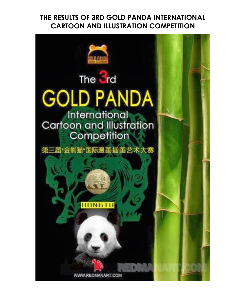## **THE RESULTS OF 3RD GOLD PANDA INTERNATIONAL CARTOON AND ILLUSTRATION COMPETITION**

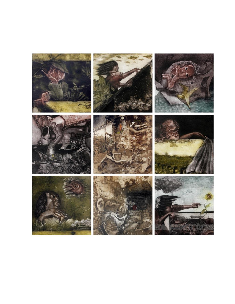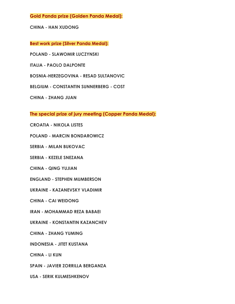**Gold Panda prize (Golden Panda Medal):**

**CHINA - HAN XUDONG**

**Best work prize (Silver Panda Medal):**

**POLAND - SLAWOMIR LUCZYNSKI**

**ITALIA - PAOLO DALPONTE**

**BOSNIA-HERZEGOVINA - RESAD SULTANOVIC**

**BELGIUM - CONSTANTIN SUNNERBERG - COST** 

**CHINA - ZHANG JUAN**

**The special prize of jury meeting (Copper Panda Medal):**

**CROATIA - NIKOLA LISTES**

**POLAND - MARCIN BONDAROWICZ**

**SERBIA - MILAN BUKOVAC** 

**SERBIA - KEZELE SNEZANA**

**CHINA - QING YUJIAN**

**ENGLAND - STEPHEN MUMBERSON**

**UKRAINE - KAZANEVSKY VLADIMIR** 

**CHINA - CAI WEIDONG**

**IRAN - MOHAMMAD REZA BABAEI**

**UKRAINE - KONSTANTIN KAZANCHEV**

**CHINA - ZHANG YUMING**

**INDONESIA - JITET KUSTANA** 

**CHINA - LI KUN** 

**SPAIN - JAVIER ZORRILLA BERGANZA**

**USA - SERIK KULMESHKENOV**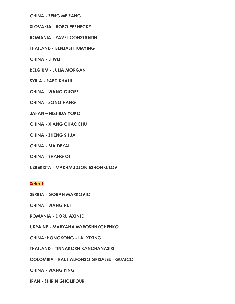**CHINA - ZENG MEIFANG**

- **SLOVAKIA - BOBO PERNECKY**
- **ROMANIA - PAVEL CONSTANTIN**
- **THAILAND - BENJASIT TUMYING**
- **CHINA - LI WEI**
- **BELGIUM - JULIA MORGAN**
- **SYRIA - RAED KHALIL**
- **CHINA - WANG GUOFEI**
- **CHINA - SONG HANG**
- **JAPAN – NISHIDA YOKO**
- **CHINA - XIANG CHAOCHU**
- **CHINA - ZHENG SHUAI**
- **CHINA - MA DEKAI**
- **CHINA - ZHANG QI**
- **UZBEKISTA - MAKHMUDJON ESHONKULOV**

## **Select:**

- **SERBIA - GORAN MARKOVIC**
- **CHINA - WANG HUI**
- **ROMANIA - DORU AXINTE**
- **UKRAINE - MARYANA MYROSHNYCHENKO**
- **CHINA· HONGKONG - LAI XIXING**
- **THAILAND - TINNAKORN KANCHANASIRI**
- **COLOMBIA - RAUL ALFONSO GRISALES - GUAICO**
- **CHINA - WANG PING**
- **IRAN - SHIRIN GHOLIPOUR**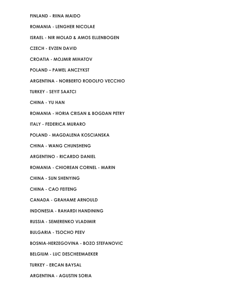**FINLAND - RIINA MAIDO** 

**ROMANIA - LENGHER NICOLAE** 

**ISRAEL - NIR MOLAD & AMOS ELLENBOGEN** 

**CZECH - EVZEN DAVID** 

**CROATIA - MOJMIR MIHATOV** 

**POLAND – PAWEL ANCZYKST** 

**ARGENTINA - NORBERTO RODOLFO VECCHIO**

**TURKEY - SEYIT SAATCI** 

**CHINA - YU HAN**

**ROMANIA - HORIA CRISAN & BOGDAN PETRY** 

**ITALY - FEDERICA MURARO** 

**POLAND - MAGDALENA KOSCIANSKA** 

**CHINA - WANG CHUNSHENG**

**ARGENTINO - RICARDO DANIEL** 

**ROMANIA - CHIOREAN CORNEL - MARIN** 

**CHINA - SUN SHENYING**

**CHINA - CAO FEITENG**

**CANADA - GRAHAME ARNOULD** 

**INDONESIA - RAHARDI HANDINING** 

**RUSSIA - SEMERENKO VLADIMIR** 

**BULGARIA - TSOCHO PEEV** 

**BOSNIA-HERZEGOVINA - BOZO STEFANOVIC** 

**BELGIUM - LUC DESCHEEMAEKER** 

**TURKEY - ERCAN BAYSAL**

**ARGENTINA - AGUSTIN SORIA**